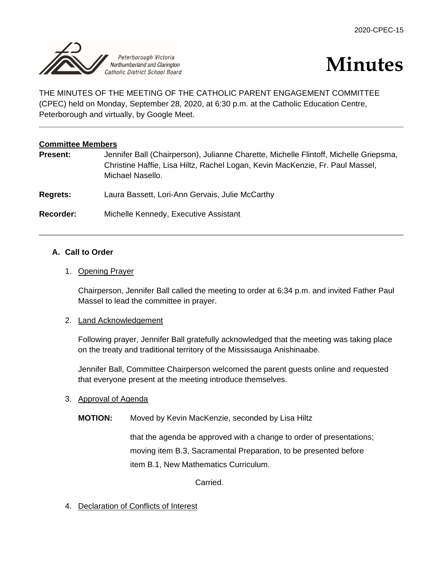

# **Minutes**

THE MINUTES OF THE MEETING OF THE CATHOLIC PARENT ENGAGEMENT COMMITTEE (CPEC) held on Monday, September 28, 2020, at 6:30 p.m. at the Catholic Education Centre, Peterborough and virtually, by Google Meet.

# **Committee Members**

| <b>Present:</b> | Jennifer Ball (Chairperson), Julianne Charette, Michelle Flintoff, Michelle Griepsma,<br>Christine Haffie, Lisa Hiltz, Rachel Logan, Kevin MacKenzie, Fr. Paul Massel,<br>Michael Nasello. |
|-----------------|--------------------------------------------------------------------------------------------------------------------------------------------------------------------------------------------|
| Regrets:        | Laura Bassett, Lori-Ann Gervais, Julie McCarthy                                                                                                                                            |
| Recorder:       | Michelle Kennedy, Executive Assistant                                                                                                                                                      |

# **A. Call to Order**

# 1. Opening Prayer

Chairperson, Jennifer Ball called the meeting to order at 6:34 p.m. and invited Father Paul Massel to lead the committee in prayer.

#### 2. Land Acknowledgement

Following prayer, Jennifer Ball gratefully acknowledged that the meeting was taking place on the treaty and traditional territory of the Mississauga Anishinaabe.

Jennifer Ball, Committee Chairperson welcomed the parent guests online and requested that everyone present at the meeting introduce themselves.

# 3. Approval of Agenda

**MOTION:** Moved by Kevin MacKenzie, seconded by Lisa Hiltz

that the agenda be approved with a change to order of presentations; moving item B.3, Sacramental Preparation, to be presented before item B.1, New Mathematics Curriculum.

Carried.

4. Declaration of Conflicts of Interest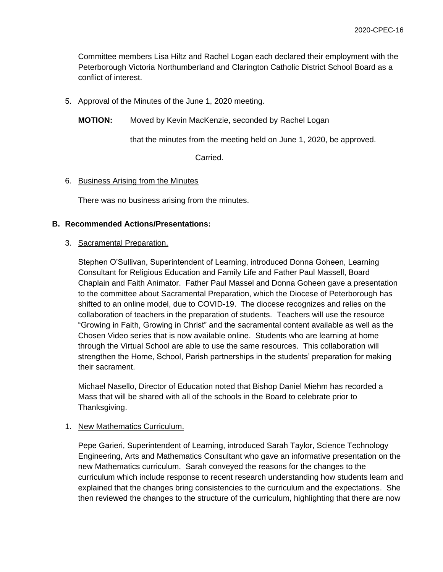Committee members Lisa Hiltz and Rachel Logan each declared their employment with the Peterborough Victoria Northumberland and Clarington Catholic District School Board as a conflict of interest.

5. Approval of the Minutes of the June 1, 2020 meeting.

**MOTION:** Moved by Kevin MacKenzie, seconded by Rachel Logan

that the minutes from the meeting held on June 1, 2020, be approved.

Carried.

# 6. Business Arising from the Minutes

There was no business arising from the minutes.

# **B. Recommended Actions/Presentations:**

#### 3. Sacramental Preparation.

Stephen O'Sullivan, Superintendent of Learning, introduced Donna Goheen, Learning Consultant for Religious Education and Family Life and Father Paul Massell, Board Chaplain and Faith Animator. Father Paul Massel and Donna Goheen gave a presentation to the committee about Sacramental Preparation, which the Diocese of Peterborough has shifted to an online model, due to COVID-19. The diocese recognizes and relies on the collaboration of teachers in the preparation of students. Teachers will use the resource "Growing in Faith, Growing in Christ" and the sacramental content available as well as the Chosen Video series that is now available online. Students who are learning at home through the Virtual School are able to use the same resources. This collaboration will strengthen the Home, School, Parish partnerships in the students' preparation for making their sacrament.

Michael Nasello, Director of Education noted that Bishop Daniel Miehm has recorded a Mass that will be shared with all of the schools in the Board to celebrate prior to Thanksgiving.

# 1. New Mathematics Curriculum.

Pepe Garieri, Superintendent of Learning, introduced Sarah Taylor, Science Technology Engineering, Arts and Mathematics Consultant who gave an informative presentation on the new Mathematics curriculum. Sarah conveyed the reasons for the changes to the curriculum which include response to recent research understanding how students learn and explained that the changes bring consistencies to the curriculum and the expectations. She then reviewed the changes to the structure of the curriculum, highlighting that there are now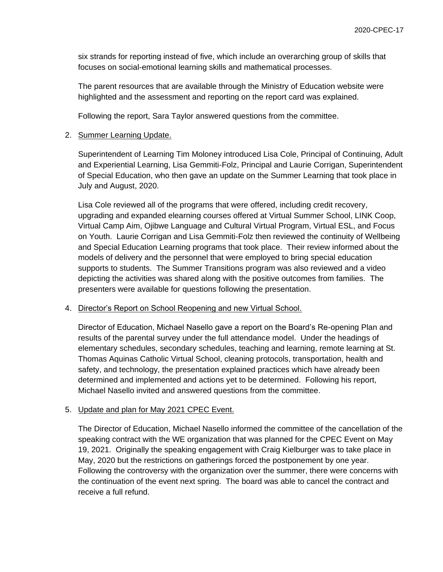six strands for reporting instead of five, which include an overarching group of skills that focuses on social-emotional learning skills and mathematical processes.

The parent resources that are available through the Ministry of Education website were highlighted and the assessment and reporting on the report card was explained.

Following the report, Sara Taylor answered questions from the committee.

# 2. Summer Learning Update.

Superintendent of Learning Tim Moloney introduced Lisa Cole, Principal of Continuing, Adult and Experiential Learning, Lisa Gemmiti-Folz, Principal and Laurie Corrigan, Superintendent of Special Education, who then gave an update on the Summer Learning that took place in July and August, 2020.

Lisa Cole reviewed all of the programs that were offered, including credit recovery, upgrading and expanded elearning courses offered at Virtual Summer School, LINK Coop, Virtual Camp Aim, Ojibwe Language and Cultural Virtual Program, Virtual ESL, and Focus on Youth. Laurie Corrigan and Lisa Gemmiti-Folz then reviewed the continuity of Wellbeing and Special Education Learning programs that took place. Their review informed about the models of delivery and the personnel that were employed to bring special education supports to students. The Summer Transitions program was also reviewed and a video depicting the activities was shared along with the positive outcomes from families. The presenters were available for questions following the presentation.

#### 4. Director's Report on School Reopening and new Virtual School.

Director of Education, Michael Nasello gave a report on the Board's Re-opening Plan and results of the parental survey under the full attendance model. Under the headings of elementary schedules, secondary schedules, teaching and learning, remote learning at St. Thomas Aquinas Catholic Virtual School, cleaning protocols, transportation, health and safety, and technology, the presentation explained practices which have already been determined and implemented and actions yet to be determined. Following his report, Michael Nasello invited and answered questions from the committee.

#### 5. Update and plan for May 2021 CPEC Event.

The Director of Education, Michael Nasello informed the committee of the cancellation of the speaking contract with the WE organization that was planned for the CPEC Event on May 19, 2021. Originally the speaking engagement with Craig Kielburger was to take place in May, 2020 but the restrictions on gatherings forced the postponement by one year. Following the controversy with the organization over the summer, there were concerns with the continuation of the event next spring. The board was able to cancel the contract and receive a full refund.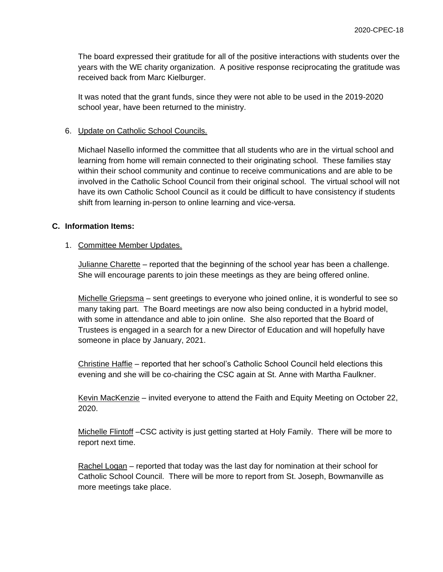The board expressed their gratitude for all of the positive interactions with students over the years with the WE charity organization. A positive response reciprocating the gratitude was received back from Marc Kielburger.

It was noted that the grant funds, since they were not able to be used in the 2019-2020 school year, have been returned to the ministry.

#### 6. Update on Catholic School Councils.

Michael Nasello informed the committee that all students who are in the virtual school and learning from home will remain connected to their originating school. These families stay within their school community and continue to receive communications and are able to be involved in the Catholic School Council from their original school. The virtual school will not have its own Catholic School Council as it could be difficult to have consistency if students shift from learning in-person to online learning and vice-versa.

# **C. Information Items:**

# 1. Committee Member Updates.

Julianne Charette – reported that the beginning of the school year has been a challenge. She will encourage parents to join these meetings as they are being offered online.

Michelle Griepsma – sent greetings to everyone who joined online, it is wonderful to see so many taking part. The Board meetings are now also being conducted in a hybrid model, with some in attendance and able to join online. She also reported that the Board of Trustees is engaged in a search for a new Director of Education and will hopefully have someone in place by January, 2021.

Christine Haffie – reported that her school's Catholic School Council held elections this evening and she will be co-chairing the CSC again at St. Anne with Martha Faulkner.

Kevin MacKenzie – invited everyone to attend the Faith and Equity Meeting on October 22, 2020.

Michelle Flintoff –CSC activity is just getting started at Holy Family. There will be more to report next time.

Rachel Logan – reported that today was the last day for nomination at their school for Catholic School Council. There will be more to report from St. Joseph, Bowmanville as more meetings take place.